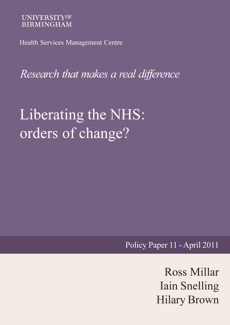## **UNIVERSITYOF BIRMINGHAM**

Health Services Management Centre

Research that makes a real difference

# Liberating the NHS: orders of change?

Policy Paper 11 - April 2011

Ross Millar Iain Snelling Hilary Brown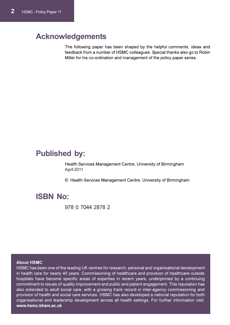# Acknowledgements

The following paper has been shaped by the helpful comments, ideas and feedback from a number of HSMC colleagues. Special thanks also go to Robin Miller for his co-ordination and management of the policy paper series.

# Published by:

Health Services Management Centre, University of Birmingham April 2011

© Health Services Management Centre, University of Birmingham

# ISBN No:

978 0 7044 2878 2

#### About HSMC

HSMC has been one of the leading UK centres for research, personal and organisational development in health care for nearly 40 years. Commissioning of healthcare and provision of healthcare outside hospitals have become specific areas of expertise in recent years, underpinned by a continuing commitment to issues of quality improvement and public and patient engagement. This reputation has also extended to adult social care, with a growing track record in inter-agency commissioning and provision of health and social care services. HSMC has also developed a national reputation for both organisational and leadership development across all health settings. For further information visit: [www.hsmc.bham.ac.uk](http://www.plainenglish.co.uk||)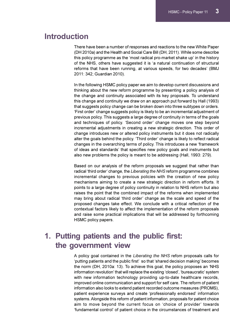# Introduction

There have been a number of responses and reactions to the new White Paper (DH 2010a) and the Health and Social Care Bill (DH, 2011). While some describe this policy programme as the 'most radical pro-market shake up' in the history of the NHS, others have suggested it is 'a natural continuation of structural reforms that have been running, at various speeds, for two decades' (BMJ 2011: 342; Guardian 2010).

In the following HSMC policy paper we aim to develop current discussions and thinking about the new reform programme by presenting a policy analysis of the change and continuity associated with its key proposals. To understand this change and continuity we draw on an approach put forward by Hall (1993) that suggests policy change can be broken down into three subtypes or orders. 'First order' change suggests policy is likely to be an incremental adjustment of previous policy. This suggests a large degree of continuity in terms of the goals and techniques of policy. 'Second order' change moves one step beyond incremental adjustments in creating a new strategic direction. This order of change introduces new or altered policy instruments but it does not radically alter the goals behind the policy. 'Third order' change is likely to reflect radical changes in the overarching terms of policy. This introduces a new 'framework of ideas and standards' that specifies new policy goals and instruments but also new problems the policy is meant to be addressing (Hall, 1993: 279).

Based on our analysis of the reform proposals we suggest that rather than radical 'third order' change, the Liberating the NHS reform programme combines incremental changes to previous policies with the creation of new policy mechanisms aiming to create a new strategic direction in reform efforts. It points to a large degree of policy continuity in relation to NHS reform but also raises the point that the combined impact of the reforms when implemented may bring about radical 'third order' change as the scale and speed of the proposed changes take effect. We conclude with a critical reflection of the contextual factors likely to affect the implementation of the reform proposals and raise some practical implications that will be addressed by forthcoming HSMC policy papers.

# 1. Putting patients and the public first: the government view

A policy goal contained in the Liberating the NHS refom proposals calls for 'putting patients and the public first' so that 'shared decision making' becomes the norm (DH, 2010a: 13). To achieve this goal, the policy proposes an 'NHS information revolution' that will replace the existing 'closed', 'bureaucratic' system with new information technology providing up-to-date healthcare records, improved online communication and support for self care. The reform of patient information also looks to extend patient recorded outcome measures (PROMS), patient experience surveys and create 'professionally endorsed' information systems. Alongside this reform of patient information, proposals for patient choice aim to move beyond the current focus on 'choice of provider' towards 'fundamental control' of patient choice in the circumstances of treatment and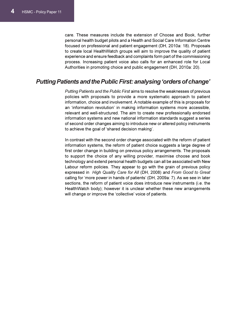care. These measures include the extension of Choose and Book, further personal health budget pilots and a Health and Social Care Information Centre focused on professional and patient engagement (DH, 2010a: 18). Proposals to create local HealthWatch groups will aim to improve the quality of patient experience and ensure feedback and complaints form part of the commissioning process. Increasing patient voice also calls for an enhanced role for Local Authorities in promoting choice and public engagement (DH, 2010a: 20).

### Putting Patients and the Public First: analysing 'orders of change'

Putting Patients and the Public First aims to resolve the weaknesses of previous policies with proposals to provide a more systematic approach to patient information, choice and involvement. A notable example of this is proposals for an 'information revolution' in making information systems more accessible, relevant and well-structured. The aim to create new professionally endorsed information systems and new national information standards suggest a series of second order changes aiming to introduce new or altered policy instruments to achieve the goal of 'shared decision making'.

In contrast with the second order change associated with the reform of patient information systems, the reform of patient choice suggests a large degree of first order change in building on previous policy arrangements. The proposals to support the choice of any willing provider, maximise choose and book technology and extend personal health budgets can all be associated with New Labour reform policies. They appear to go with the grain of previous policy expressed in High Quality Care for All (DH, 2008) and From Good to Great calling for 'more power in hands of patients' (DH, 2009a: 7). As we see in later sections, the reform of patient voice does introduce new instruments (i.e. the HealthWatch body); however it is unclear whether these new arrangements will change or improve the 'collective' voice of patients.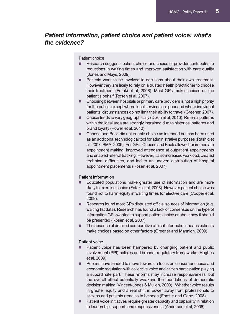## Patient information, patient choice and patient voice: what's the evidence?

Patient choice

- **Research suggests patient choice and choice of provider contributes to** reductions in waiting times and improved satisfaction with care quality (Jones and Mays, 2009).
- **E** Patients want to be involved in decisions about their own treatment. However they are likely to rely on a trusted health practitioner to choose their treatment (Fotaki et al, 2008). Most GPs make choices on the patient's behalf (Rosen et al, 2007).
- **E** Choosing between hospitals or primary care providers is not a high priority for the public, except where local services are poor and where individual patients' circumstances do not limit their ability to travel (Greener, 2007).
- - Choice tends to vary geographically (Dixon et al, 2010). Referral patterns within the local area are strongly ingrained due to historical patterns and brand loyalty (Powell et al, 2010).
- **E** Choose and Book did not enable choice as intended but has been used as an additional technological tool for administrative purposes (Rashid et al, 2007; BMA, 2009). For GPs, Choose and Book allowed for immediate appointment making, improved attendance at outpatient appointments and enabled referral tracking. However, it also increased workload, created technical difficulties, and led to an uneven distribution of hospital appointment placements (Rosen et al, 2007)

#### Patient information

- - Educated populations make greater use of information and are more likely to exercise choice (Fotaki et al, 2008). However patient choice was found not to harm equity in waiting times for elective care (Cooper et al, 2009).
- - Research found most GPs distrusted official sources of information (e.g. waiting list data). Research has found a lack of consensus on the type of information GPs wanted to support patient choice or about how it should be presented (Rosen et al, 2007).
- - The absence of detailed comparative clinical information means patients make choices based on other factors (Greener and Mannion, 2009).

#### Patient voice

- - Patient voice has been hampered by changing patient and public involvement (PPI) policies and broader regulatory frameworks (Hughes et al, 2009)
- **Policies have tended to move towards a focus on consumer choice and** economic regulation with collective voice and citizen participation playing a subordinate part. These reforms may increase responsiveness, but the overall effect potentially weakens the foundations of democratic decision making (Vincent-Jones & Mullen, 2009). Whether voice results in greater equity and a real shift in power away from professionals to citizens and patients remains to be seen (Forster and Gabe, 2008).
- **E** Patient voice initiatives require greater capacity and capability in relation to leadership, support, and responsiveness (Anderson et al, 2006).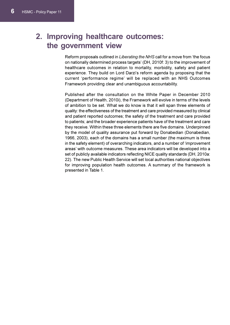# 2. Improving healthcare outcomes: the government view

Reform proposals outlined in Liberating the NHS call for a move from 'the focus on nationally determined process targets' (DH, 2010f: 3) to the improvement of healthcare outcomes in relation to mortality, morbidity, safety and patient experience. They build on Lord Darzi's reform agenda by proposing that the current 'performance regime' will be replaced with an NHS Outcomes Framework providing clear and unambiguous accountability.

Published after the consultation on the White Paper in December 2010 (Department of Health, 2010i), the Framework will evolve in terms of the levels of ambition to be set. What we do know is that it will span three elements of quality: the effectiveness of the treatment and care provided measured by clinical and patient reported outcomes; the safety of the treatment and care provided to patients; and the broader experience patients have of the treatment and care they receive. Within these three elements there are five domains. Underpinned by the model of quality assurance put forward by Donabedian (Donabedian, 1966, 2003), each of the domains has a small number (the maximum is three in the safety element) of overarching indicators, and a number of 'improvement areas' with outcome measures. These area indicators will be developed into a set of publicly available indicators reflecting NICE quality standards (DH, 2010a: 22). The new Public Health Service will set local authorities national objectives for improving population health outcomes. A summary of the framework is presented in Table 1.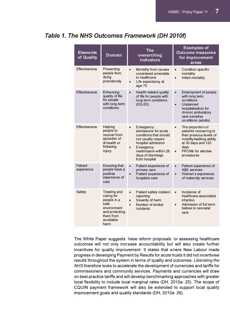## Table 1. The NHS Outcomes Framework (DH 2010f)

| <b>Elements</b><br>of Quality | <b>Domain</b>                                                                                                        | The<br>overarching<br>indicators                                                                                                                                                                               | <b>Examples of</b><br><b>Outcome measures</b><br>for improvement<br>areas                                                                                                                              |
|-------------------------------|----------------------------------------------------------------------------------------------------------------------|----------------------------------------------------------------------------------------------------------------------------------------------------------------------------------------------------------------|--------------------------------------------------------------------------------------------------------------------------------------------------------------------------------------------------------|
| <b>Effectiveness</b>          | Preventing<br>people from<br>dying<br>prematurely                                                                    | Mortality from causes<br>$\bullet$<br>considered amenable<br>to healthcare<br>Life expectancy at<br>$\bullet$<br>age 75                                                                                        | Condition specific<br>$\bullet$<br>mortality<br>Infant mortality<br>$\bullet$                                                                                                                          |
| <b>Effectiveness</b>          | Enhancing<br>quality of life<br>for people<br>with long-term<br>conditions                                           | Health-related quality<br>$\bullet$<br>of life for people with<br>long term conditions<br>(EQ-5D)                                                                                                              | <b>Employment of people</b><br>$\bullet$<br>with long term<br>conditions<br>Unplanned<br>$\bullet$<br>hospitalisation for<br>chronic ambulatory<br>care sensitive<br>conditions (adults)               |
| <b>Effectiveness</b>          | Helping<br>people to<br>recover from<br>episodes of<br>ill-health or<br>following<br>injury                          | Emergency<br>$\bullet$<br>admissions for acute<br>conditions that should<br>not usually require<br>hospital admission<br>Emergency<br>$\bullet$<br>readmission within 28<br>days of discharge<br>from hospital | The proportion of<br>$\bullet$<br>patients recovering to<br>their previous levels of<br>mobility/walking ability<br>at 30 days and 120<br>days<br><b>PROMs for elective</b><br>$\bullet$<br>procedures |
| Patient<br>experience         | <b>Ensuring that</b><br>people have a<br>positive<br>experience of<br>care                                           | Patient experience of<br>$\bullet$<br>primary care<br>Patient experience of<br>$\bullet$<br>hospitals care                                                                                                     | Patient experience of<br>$\bullet$<br>A&E services<br>Women's experience<br>$\bullet$<br>of maternity services                                                                                         |
| Safety                        | Treating and<br>caring for<br>people in a<br>safe<br>environment<br>and protecting<br>them from<br>avoidable<br>harm | Patient safety incident<br>$\bullet$<br>reporting<br>Severity of harm<br>$\bullet$<br>Number of similar<br>$\bullet$<br>incidents                                                                              | Incidence of<br>$\bullet$<br>healthcare-associated<br>infection<br>Admission of full term<br>$\bullet$<br>babies to neonatal<br>care                                                                   |

The White Paper suggests these reform proposals for assessing healthcare outcomes will not only increase accountability but will also create further incentives for quality improvement. It states that where New Labour made progress in developing Payment by Results for acute trusts it did not incentivise results throughout the system in terms of quality and outcomes. Liberating the NHS therefore looks to accelerate the development of currencies and tariffs for commissioners and community services. Payments and currencies will draw on best practice tariffs and will develop benchmarking approaches with greater local flexibility to include local marginal rates (DH, 2010a: 25). The scope of CQUIN payment framework will also be extended to support local quality improvement goals and quality standards (DH, 2010a: 26).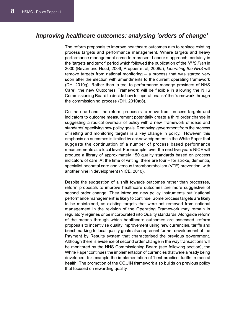## Improving healthcare outcomes: analysing 'orders of change'

The reform proposals to improve healthcare outcomes aim to replace existing process targets and performance management. Where targets and heavy performance management came to represent Labour's approach, certainly in the 'targets and terror' period which followed the publication of the NHS Plan in 2000 (Bevan and Hood, 2006; Propper et al, 2008a), Liberating the NHS will remove targets from national monitoring – a process that was started very soon after the election with amendments to the current operating framework (DH, 2010g). Rather than 'a tool to performance manage providers of NHS Care', the new Outcomes Framework will be flexible in allowing the NHS Commissioning Board to decide how to 'operationalise' the framework through the commissioning process (DH, 2010a:8).

On the one hand, the reform proposals to move from process targets and indicators to outcome measurement potentially create a third order change in suggesting a radical overhaul of policy with a new 'framework of ideas and standards' specifying new policy goals. Removing government from the process of setting and monitoring targets is a key change in policy. However, this emphasis on outcomes is limited by acknowledgement in the White Paper that suggests the continuation of a number of process based performance measurements at a local level. For example, over the next five years NICE will produce a library of approximately 150 quality standards based on process indicators of care. At the time of writing, there are four – for stroke, dementia, specialist neonatal care and venous thromboembolism (VTE) prevention, with another nine in development (NICE, 2010).

Despite the suggestion of a shift towards outcomes rather than processes, reform proposals to improve healthcare outcomes are more suggestive of second order change. They introduce new policy instruments but 'national performance management' is likely to continue. Some process targets are likely to be maintained, as existing targets that were not removed from national management in the revision of the Operating Framework may remain in regulatory regimes or be incorporated into Quality standards. Alongside reform of the means through which healthcare outcomes are assessed, reform proposals to incentivise quality improvement using new currencies, tariffs and benchmarking to local quality goals also represent further development of the Payment by Results system that characterised the previous government. Although there is evidence of second order change in the way transactions will be monitored by the NHS Commissioning Board (see following section), the White Paper continues the implementation of currencies that were already being developed, for example the implementation of 'best practice' tariffs in mental health. The promotion of the CQUIN framework also builds on previous policy that focused on rewarding quality.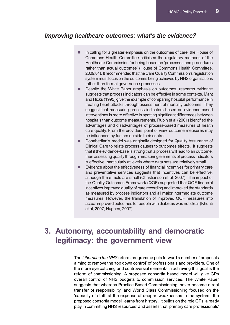## Improving healthcare outcomes: what's the evidence?

- - In calling for a greater emphasis on the outcomes of care, the House of Commons Health Committee criticised the regulatory methods of the Healthcare Commission for being based on 'processes and procedures rather than actual outcomes' (House of Commons Health Committee, 2009:84). It recommended that the Care Quality Commission's registration system must focus on the outcomes being achieved by NHS organisations rather than formal governance processes.
- - Despite the White Paper emphasis on outcomes, research evidence suggests that process indicators can be effective in some contexts. Mant and Hicks (1995) give the example of comparing hospital performance in treating heart attacks through assessment of mortality outcomes. They suggest that measuring process indicators based on evidence-based interventions is more effective in spotting significant differences between hospitals than outcome measurements. Rubin et al (2001) identified the advantages and disadvantages of process-based measures of health care quality. From the providers' point of view, outcome measures may be influenced by factors outside their control.
- - Donabedian's model was originally designed for Quality Assurance of Clinical Care to relate process causes to outcomes effects. It suggests that if the evidence-base is strong that a process will lead to an outcome, then assessing quality through measuring elements of process indicators is effective, particularly at levels where data sets are relatively small.
- - Evidence about the effectiveness of financial incentives for primary care and preventative services suggests that incentives can be effective, although the effects are small (Christianson et al, 2007). The impact of the Quality Outcomes Framework (QOF) suggested that QOF financial incentives improved quality of care recording and improved the standards as measured by process indicators and all major intermediate outcome measures. However, the translation of improved QOF measures into actual improved outcomes for people with diabetes was not clear (Khunti et al, 2007; Hughes, 2007).

# 3. Autonomy, accountability and democratic legitimacy: the government view

The Liberating the NHS reform programme puts forward a number of proposals aiming to remove the 'top down control' of professionals and providers. One of the more eye catching and controversial elements in achieving this goal is the reform of commissioning. A proposed consortia based model will give GPs overall control of NHS budgets to commission services. The White Paper suggests that whereas Practice Based Commissioning 'never became a real transfer of responsibility' and World Class Commissioning focused on the 'capacity of staff' at the expense of deeper 'weaknesses in the system', the proposed consortia model 'learns from history'. It builds on the role GPs 'already play in committing NHS resources' and asserts that 'primary care professionals'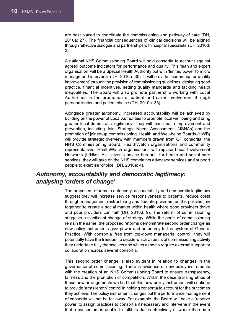are best placed to coordinate the commissioning and pathway of care (DH, 2010a: 27). The financial consequences of clinical decisions will be aligned through 'effective dialogue and partnerships with hospital specialists' (DH, 2010d: 3).

A national NHS Commissioning Board will hold consortia to account against agreed outcome indicators for performance and quality. This 'lean and expert organisation' will be a Special Health Authority but with 'limited power to micro manage and intervene' (DH, 2010a: 30). It will provide 'leadership for quality improvement' through the provision of commissioning guidelines, designing good practice, financial incentives, setting quality standards and tackling health inequalities. The Board will also promote partnership working with Local Authorities in the promotion of patient and carer involvement through personalisation and patient choice (DH, 2010a: 33).

Alongside greater autonomy, increased accountability will be achieved by building on the power of Local Authorities to promote local well being and bring greater local democratic legitimacy. They will lead health improvement and prevention, including Joint Strategic Needs Assessments (JSNAs) and the promotion of joined-up commissioning. Health and Well-being Boards (HWB) will provide strategic overview with members drawn from GP consortia, the NHS Commissioning Board, HealthWatch organisations and community representatives. HealthWatch organisations will replace Local Involvement Networks (LINks). As 'citizen's advice bureaus' for health and social care services, they will take on the NHS complaints advocacy services and support people to exercise 'choice' (DH, 2010e: 4).

## Autonomy, accountability and democratic legitimacy: analysing 'orders of change'

The proposed reforms to autonomy, accountability and democratic legitimacy suggest they will increase service responsiveness to patients, reduce costs through management restructuring and liberate providers as the policies join together 'to create a social market within health where good providers thrive and poor providers can fail' (DH, 2010d: 9). The reform of commissioning suggests a significant change of strategy. While the goals of commissioning remain the same, the proposed reforms demonstrate second order change as new policy instruments give power and autonomy to the system of General Practice. With consortia 'free from top-down managerial control', they will potentially have the freedom to decide which aspects of commissioning activity they undertake fully themselves and which aspects require external support or collaboration across several consortia.

This second order change is also evident in relation to changes in the governance of commissioning. There is evidence of new policy instruments with the creation of an NHS Commissioning Board to ensure transparency, fairness and the promotion of competition. Within the decentralising ethos of these new arrangements we find that this new policy instrument will continue to provide 'arms length' control in holding consortia to account for the outcomes they achieve. The policy instrument changes but the performance management of consortia will not be far away. For example, the Board will have a 'reserve power' to assign practices to consortia if necessary and intervene in the event that a consortium is unable to fulfil its duties effectively or where there is a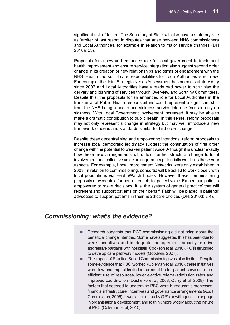significant risk of failure. The Secretary of State will also have a statutory role as 'arbiter of last resort' in disputes that arise between NHS commissioners and Local Authorities, for example in relation to major service changes (DH 2010a: 33).

Proposals for a new and enhanced role for local government to implement health improvement and ensure service integration also suggest second order change in its creation of new relationships and terms of engagement with the NHS. Health and social care responsibilities for Local Authorities is not new. For example, the Joint Strategic Needs Assessment has been a statutory duty since 2007 and Local Authorities have already had power to scrutinise the delivery and planning of services through Overview and Scrutiny Committees. Despite this, the proposals for an enhanced role for Local Authorities in the transferral of Public Health responsibilities could represent a significant shift from the NHS being a health and sickness service into one focused only on sickness. With Local Government involvement increased, it may be able to make a dramatic contribution to public health. In this sense, reform proposals may not only represent a change in strategy but may well introduce a new framework of ideas and standards similar to third order change.

Despite these decentralising and empowering intentions, reform proposals to increase local democratic legitimacy suggest the continuation of first order change with the potential to weaken patient voice. Although it is unclear exactly how these new arrangements will unfold, further structural change to local involvement and collective voice arrangements potentially weakens these very aspects. For example, Local Improvement Networks were only established in 2008. In relation to commissioning, consortia will be asked to work closely with local populations via HealthWatch bodies. However these commissioning proposals may create a further limited role for patient voice. Rather than patients empowered to make decisions, it is 'the system of general practice' that will represent and support patients on their behalf. Faith will be placed in patients' advocates to support patients in their healthcare choices (DH, 2010d: 2-4).

#### Commissioning: what's the evidence?

- - Research suggests that PCT commissioning did not bring about the beneficial change intended. Some have suggested this has been due to weak incentives and inadequate management capacity to drive aggressive bargains with hospitals (Cookson et al, 2010). PCTs struggled to develop care pathway models (Goodwin, 2007).
- - The impact of Practice Based Commissioning was also limited. Despite some evidence that PBC 'worked' (Coleman et al, 2010), these initiatives were few and impact limited in terms of better patient services, more efficient use of resources, lower elective referral/admission rates and improved coordination (Dusheiko et al, 2008; Curry et al, 2008). The factors that seemed to undermine PBC were bureaucratic processes, financial infrastructure, incentives and governance arrangements (Audit Commission, 2006). It was also limited by GP's unwillingness to engage in organisational development and to think more widely about the nature of PBC (Coleman et al, 2010).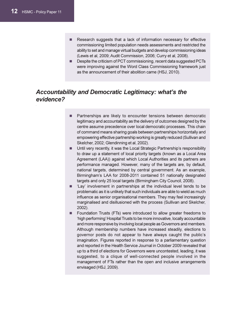.

- - Research suggests that a lack of information necessary for effective commissioning limited population needs assessments and restricted the ability to set and manage virtual budgets and develop commissioning ideas (Lewis et al, 2009; Audit Commission, 2006; Curry et al, 2008).
- - Despite the criticism of PCT commissioning, recent data suggested PCTs were improving against the Word Class Commissioning framework just as the announcement of their abolition came (HSJ, 2010).

## Accountability and Democratic Legitimacy: what's the evidence?

- - Partnerships are likely to encounter tensions between democratic legitimacy and accountability as the delivery of outcomes designed by the centre assume precedence over local democratic processes. This chain of command means sharing goals between partnerships horizontally and empowering effective partnership working is greatly reduced (Sullivan and Skelcher, 2002; Glendinning et al, 2002).
- - Until very recently, it was the Local Strategic Partnership's responsibility to draw up a statement of local priority targets (known as a Local Area Agreement (LAA)) against which Local Authorities and its partners are performance managed. However, many of the targets are, by default, national targets, determined by central government. As an example, Birmingham's LAA for 2008-2011 contained 51 nationally designated targets and only 25 local targets (Birmingham City Council, 2008).
- - 'Lay' involvement in partnerships at the individual level tends to be problematic as it is unlikely that such individuals are able to wield as much influence as senior organisational members. They may feel increasingly marginalised and disillusioned with the process (Sullivan and Skelcher, 2002).
- - Foundation Trusts (FTs) were introduced to allow greater freedoms to 'high performing' Hospital Trusts to be more innovative, locally accountable and more responsive by involving local people as Governors and members. Although membership numbers have increased steadily, elections to governor posts do not appear to have always caught the public's imagination. Figures reported in response to a parliamentary question and reported in the Health Service Journal in October 2009 revealed that up to a third of elections for Governors were uncontested, leading, it was suggested, to a clique of well-connected people involved in the management of FTs rather than the open and inclusive arrangements envisaged (HSJ, 2009).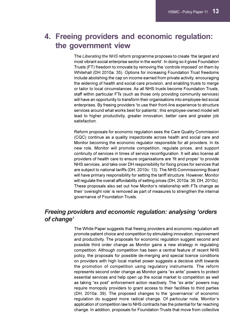# 4. Freeing providers and economic regulation: the government view

The Liberating the NHS reform programme proposes to create 'the largest and most vibrant social enterprise sector in the world'. In doing so it gives Foundation Trusts (FT) freedom to innovate by removing the 'controls imposed' on them by Whitehall (DH 2010a: 35). Options for increasing Foundation Trust freedoms include abolishing the cap on income earned from private activity, encouraging the widening of health and social care provision, and enabling trusts to merge or tailor to local circumstances. As all NHS trusts become Foundation Trusts, staff within particular FTs (such as those only providing community services) will have an opportunity to transform their organisations into employee-led social enterprises. By freeing providers 'to use their front-line experience to structure services around what works best for patients', this employee-owned model will lead to higher productivity, greater innovation, better care and greater job satisfaction.

Reform proposals for economic regulation sees the Care Quality Commission (CQC) continue as a quality inspectorate across health and social care and Monitor becoming the economic regulator responsible for all providers. In its new role, Monitor will promote competition, regulate prices, and support continuity of services in times of service reconfiguration. It will also license all providers of health care to ensure organisations are 'fit and proper' to provide NHS services, and take over DH responsibility for fixing prices for services that are subject to national tariffs (DH, 2010c: 13). The NHS Commissioning Board will have primary responsibility for setting the tariff structure. However, Monitor will regulate the overall affordability of setting prices (DH, 2010a: 36; DH, 2010c). These proposals also set out how Monitor's relationship with FTs change as their 'oversight role' is removed as part of measures to strengthen the internal governance of Foundation Trusts.

## Freeing providers and economic regulation: analysing 'orders of change'

The White Paper suggests that freeing providers and economic regulation will promote patient choice and competition by stimulating innovation, improvement and productivity. The proposals for economic regulation suggest second and possible third order change as Monitor gains a new strategy in regulating competition. Although competition has been a central feature of recent NHS policy, the proposals for possible de-merging and special licence conditions on providers with high local market power suggests a decisive shift towards the promotion of competition using regulatory instruments. The reform represents second order change as Monitor gains "ex ante" powers to protect essential services and help open up the social market to competition as well as taking "ex post" enforcement action reactively. The "ex ante" powers may require monopoly providers to grant access to their facilities to third parties (DH, 2010a: 39). The proposed changes to the 'governance' of economic regulation do suggest more radical change. Of particular note, Monitor's application of competition law to NHS contracts has the potential for far reaching change. In addition, proposals for Foundation Trusts that move from collective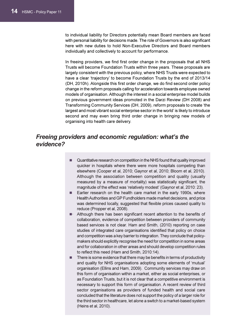to individual liability for Directors potentially mean Board members are faced with personal liability for decisions made. The role of Governors is also significant here with new duties to hold Non-Executive Directors and Board members individually and collectively to account for performance.

In freeing providers, we find first order change in the proposals that all NHS Trusts will become Foundation Trusts within three years. These proposals are largely consistent with the previous policy, where NHS Trusts were expected to have a clear 'trajectory' to become Foundation Trusts by the end of 2013/14 (DH, 2010h). Alongside this first order change, we do find second order policy change in the reform proposals calling for acceleration towards employee owned models of organisation. Although the interest in a social enterprise model builds on previous government ideas promoted in the Darzi Review (DH 2008) and Transforming Community Services (DH, 2009), reform proposals to create 'the largest and most vibrant social enterprise sector in the world' is likely to introduce second and may even bring third order change in bringing new models of organising into health care delivery.

## Freeing providers and economic regulation: what's the evidence?

- - Quantitative research on competition in the NHS found that quality improved quicker in hospitals where there were more hospitals competing than elsewhere (Cooper et al, 2010; Gaynor et al, 2010; Bloom et al, 2010). Although the association between competition and quality (usually measured by a measure of mortality) was statistically significant, the magnitude of the effect was 'relatively modest' (Gaynor et al, 2010: 23).
- - Earlier research on the health care market in the early 1990s, where Health Authorities and GP Fundholders made market decisions, and price was determined locally, suggested that flexible prices caused quality to reduce (Propper et al, 2008).
- **E** Although there has been significant recent attention to the benefits of collaboration, evidence of competition between providers of community based services is not clear. Ham and Smith, (2010) reporting on case studies of integrated care organisations identified that policy on choice and competition was a key barrier to integration. They conclude that policymakers should explicitly recognise the need for competition in some areas and for collaboration in other areas and should develop competition rules to reflect this need (Ham and Smith, 2010:14).
- - There is some evidence that there may be benefits in terms of productivity and quality for NHS organisations adopting some elements of 'mutual' organisation (Ellins and Ham, 2009). Community services may draw on this form of organisation within a market, either as social enterprises, or as Foundation Trusts, but it is not clear that a competitive environment is necessary to support this form of organisation. A recent review of third sector organisations as providers of funded health and social care concluded that the literature does not support the policy of a larger role for the third sector in healthcare, let alone a switch to a market-based system (Heins et al, 2010).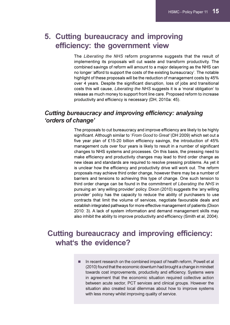# 5. Cutting bureaucracy and improving efficiency: the government view

The Liberating the NHS reform programme suggests that the result of implementing its proposals will cut waste and transform productivity. The combined savings of reform will amount to a major delayering as the NHS can no longer 'afford to support the costs of the existing bureaucracy'. The notable highlight of these proposals will be the reduction of management costs by 45% over 4 years. Despite the significant disruption, loss of jobs and transitional costs this will cause, Liberating the NHS suggests it is a 'moral obligation' to release as much money to support front line care. Proposed reform to increase productivity and efficiency is necessary (DH, 2010a: 45).

## Cutting bureaucracy and improving efficiency: analysing 'orders of change'

The proposals to cut bureaucracy and improve efficiency are likely to be highly significant. Although similar to 'From Good to Great' (DH 2009) which set out a five year plan of £15-20 billion efficiency savings, the introduction of 45% management cuts over four years is likely to result in a number of significant changes to NHS systems and processes. On this basis, the pressing need to make efficiency and productivity changes may lead to third order change as new ideas and standards are required to resolve pressing problems. As yet it is unclear how the efficiency and productivity drive will work out. The reform proposals may achieve third order change, however there may be a number of barriers and tensions to achieving this type of change. One such tension to third order change can be found in the commitment of Liberating the NHS in pursuing an 'any willing provider' policy. Dixon (2010) suggests the 'any willing provider' policy has the capacity to reduce the ability of purchasers to use contracts that limit the volume of services, negotiate favourable deals and establish integrated pathways for more effective management of patients (Dixon 2010: 3). A lack of system information and demand management skills may also inhibit the ability to improve productivity and efficiency (Smith et al, 2004).

# Cutting bureaucracy and improving efficiency: what's the evidence?

**In recent research on the combined impact of health reform, Powell et all** (2010) found that the economic downturn had brought a change in mindset towards cost improvements, productivity and efficiency. Systems were in agreement that the economic situation required collective action between acute sector, PCT services and clinical groups. However the situation also created local dilemmas about how to improve systems with less money whilst improving quality of service.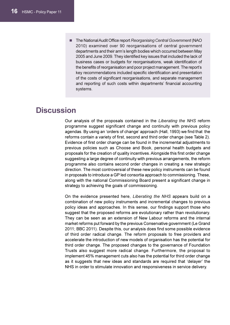**The National Audit Office report Reorganising Central Government (NAO** 2010) examined over 90 reorganisations of central government departments and their arm's length bodies which occurred between May 2005 and June 2009. They identified key issues that included the lack of business cases or budgets for reorganisations, weak identification of the benefits of reorganisation and poor project management. The report's key recommendations included specific identification and presentation of the costs of significant reorganisations, and separate management and reporting of such costs within departments' financial accounting systems.

# **Discussion**

Our analysis of the proposals contained in the Liberating the NHS reform programme suggest significant change and continuity with previous policy agendas. By using an 'orders of change' approach (Hall, 1993) we find that the reforms contain a variety of first, second and third order change (see Table 2). Evidence of first order change can be found in the incremental adjustments to previous policies such as Choose and Book, personal health budgets and proposals for the creation of quality incentives. Alongside this first order change suggesting a large degree of continuity with previous arrangements, the reform programme also contains second order changes in creating a new strategic direction. The most controversial of these new policy instruments can be found in proposals to introduce a GP led consortia approach to commissioning. These, along with the national Commissioning Board present a significant change in strategy to achieving the goals of commissioning.

On the evidence presented here, Liberating the NHS appears build on a combination of new policy instruments and incremental changes to previous policy ideas and approaches. In this sense, our findings support those who suggest that the proposed reforms are evolutionary rather than revolutionary. They can be seen as an extension of New Labour reforms and the internal market reforms put forward by the previous Conservative government (Le Grand 2011; BBC 2011). Despite this, our analysis does find some possible evidence of third order radical change. The reform proposals to free providers and accelerate the introduction of new models of organisation has the potential for third order change. The proposed changes to the governance of Foundation Trusts also suggest more radical change. Furthermore, the proposal to implement 45% management cuts also has the potential for third order change as it suggests that new ideas and standards are required that 'delayer' the NHS in order to stimulate innovation and responsiveness in service delivery.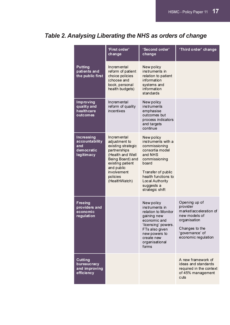# Table 2. Analysing Liberating the NHS as orders of change

|                                                                  | 'First order'<br>change                                                                                                                                                                  | 'Second order'<br>change                                                                                                                                                                                   | 'Third order' change                                                                                                                             |
|------------------------------------------------------------------|------------------------------------------------------------------------------------------------------------------------------------------------------------------------------------------|------------------------------------------------------------------------------------------------------------------------------------------------------------------------------------------------------------|--------------------------------------------------------------------------------------------------------------------------------------------------|
| <b>Putting</b><br>patients and<br>the public first               | <b>Incremental</b><br>reform of patient<br>choice policies<br>(choose and<br>book, personal<br>health budgets)                                                                           | New policy<br>instruments in<br>relation to patient<br>information<br>systems and<br>information<br>standards                                                                                              |                                                                                                                                                  |
| Improving<br>quality and<br>healthcare<br>outcomes               | Incremental<br>reform of quality<br>incentives                                                                                                                                           | New policy<br><i>instruments</i><br>emphasise<br>outcomes but<br>process indicators<br>and targets<br>continue                                                                                             |                                                                                                                                                  |
| Increasing<br>accountability<br>and<br>democratic<br>legitimacy  | Incremental<br>adjustment to<br>existing strategic<br>partnerships<br>(Health and Well<br>Being Board) and<br>existing patient<br>and public<br>involvement<br>policies<br>(HealthWatch) | New policy<br>instruments with a<br>commissioning<br>consortia model<br>and NHS<br>commissioning<br>board<br>Transfer of public<br>health functions to<br>Local Authority<br>suggests a<br>strategic shift |                                                                                                                                                  |
| <b>Freeing</b><br>providers and<br>economic<br><b>regulation</b> |                                                                                                                                                                                          | New policy<br>instruments in<br>relation to Monitor<br>gaining new<br>economic and<br>'licensing' powers.<br>FTs also given<br>new powers to<br>create new<br>organisational<br>forms                      | Opening up of<br>provider<br>market/acceleration of<br>new models of<br>organisation<br>Changes to the<br>'governance' of<br>economic regulation |
| <b>Cutting</b><br>bureaucracy<br>and improving<br>efficiency     |                                                                                                                                                                                          |                                                                                                                                                                                                            | A new framework of<br>ideas and standards<br>required in the context<br>of 45% management<br>cuts                                                |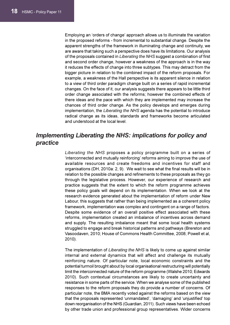Employing an 'orders of change' approach allows us to illuminate the variation in the proposed reforms - from incremental to substantial change. Despite the apparent strengths of the framework in illuminating change and continuity, we are aware that taking such a perspective does have its limitations. Our analysis of the proposals contained in Liberating the NHS suggest a combination of first and second order change, however a weakness of the approach is in the way it reduces the effects of change into three subtypes. This may detract from the bigger picture in relation to the combined impact of the reform proposals. For example, a weakness of the Hall perspective is its apparent silence in relation to a view of third order paradigm change built on a series of rapid incremental changes. On the face of it, our analysis suggests there appears to be little third order change associated with the reforms; however the combined effects of there ideas and the pace with which they are implemented may increase the chances of third order change. As the policy develops and emerges during implementation, the Liberating the NHS agenda has the potential to introduce radical change as its ideas, standards and frameworks become articulated and understood at the local level.

## Implementing Liberating the NHS: implications for policy and practice

Liberating the NHS proposes a policy programme built on a series of 'interconnected and mutually reinforcing' reforms aiming to improve the use of available resources and create freedoms and incentives for staff and organisations (DH, 2010a: 2, 9). We wait to see what the final results will be in relation to the possible changes and refinements to these proposals as they go through the legislative process. However, our experience of research and practice suggests that the extent to which the reform programme achieves these policy goals will depend on its implementation. When we look at the research evidence generated about the implementation of reform under New Labour, this suggests that rather than being implemented as a coherent policy framework, implementation was complex and contingent on a range of factors. Despite some evidence of an overall positive effect associated with these reforms, implementation created an imbalance of incentives across demand and supply. The resulting imbalance meant that some local health systems struggled to engage and break historical patterns and pathways (Brereton and Vasoodaven, 2010; House of Commons Health Committee, 2008; Powell et al, 2010).

The implementation of Liberating the NHS is likely to come up against similar internal and external dynamics that will affect and challenge its mutually reinforcing nature. Of particular note, local economic constraints and the potential turmoil brought about by local organisational restructuring will potentially limit the interconnected nature of the reform programme (Walshe 2010; Edwards 2010). Such contextual circumstances are likely to create uncertainty and resistance in some parts of the service. When we analyse some of the published responses to the reform proposals they do provide a number of concerns. Of particular note, the BMA recently voted against the reforms based on the view that the proposals represented 'unmandated', 'damaging' and 'unjustified' top down reorganisation of the NHS (Guardian, 2011). Such views have been echoed by other trade union and professional group representatives. Wider concerns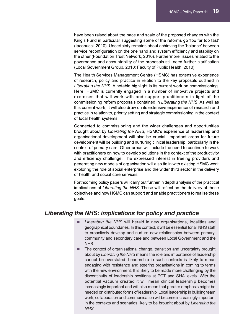have been raised about the pace and scale of the proposed changes with the King's Fund in particular suggesting some of the reforms go 'too far too fast' (Iacobucci, 2010). Uncertainty remains about achieving the 'balance' between service reconfiguration on the one hand and system efficiency and stability on the other (Foundation Trust Network, 2010). Furthermore, issues related to the governance and accountability of the proposals still need further clarification (Local Government Group, 2010; Faculty of Public Health, 2010).

The Health Services Management Centre (HSMC) has extensive experience of research, policy and practice in relation to the key proposals outlined in Liberating the NHS. A notable highlight is its current work on commissioning. Here, HSMC is currently engaged in a number of innovative projects and exercises that will work with and support practitioners in light of the commissioning reform proposals contained in Liberating the NHS. As well as this current work, it will also draw on its extensive experience of research and practice in relation to, priority setting and strategic commissioning in the context of local health systems.

Connected to commissioning and the wider challenges and opportunities brought about by Liberating the NHS, HSMC's experience of leadership and organisational development will also be crucial. Important areas for future development will be building and nurturing clinical leadership, particularly in the context of primary care. Other areas will include the need to continue to work with practitioners on how to develop solutions in the context of the productivity and efficiency challenge. The expressed interest in freeing providers and generating new models of organisation will also tie in with existing HSMC work exploring the role of social enterprise and the wider third sector in the delivery of health and social care services.

Forthcoming policy papers will carry out further in depth analysis of the practical implications of Liberating the NHS. These will reflect on the delivery of these objectives and how HSMC can support and enable practitioners to realise these goals.

## Liberating the NHS: implications for policy and practice

- - Liberating the NHS will herald in new organisations, localities and geographical boundaries. In this context, it will be essential for all NHS staff to proactively develop and nurture new relationships between primary, community and secondary care and between Local Government and the NHS.
- - The context of organisational change, transition and uncertainty brought about by Liberating the NHS means the role and importance of leadership cannot be overstated. Leadership in such contexts is likely to mean engaging with resistance and steering organisations in coming to terms with the new environment. It is likely to be made more challenging by the discontinuity of leadership positions at PCT and SHA levels. With the potential vacuum created it will mean clinical leadership becomes increasingly important and will also mean that greater emphasis might be needed on distributed forms of leadership. Local leadership in building team work, collaboration and communication will become increasingly important in the contexts and scenarios likely to be brought about by Liberating the NHS.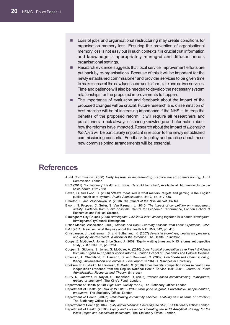- - Loss of jobs and organisational restructuring may create conditions for organisation memory loss. Ensuring the prevention of organisational memory loss is not easy but in such contexts it is crucial that information and knowledge is appropriately managed and diffused across organisational settings.
- - Research evidence suggests that local service improvement efforts are put back by re-organisations. Because of this it will be important for the newly established commissioner and provider services to be given time to make sense of the new landscape and to formulate and deliver services. Time and patience will also be needed to develop the necessary system relationships for the proposed improvements to happen.
- - The importance of evaluation and feedback about the impact of the proposed changes will be crucial. Future research and dissemination of best practice will be of increasing importance if the NHS is to reap the benefits of the proposed reform. It will require all researchers and practitioners to look at ways of sharing knowledge and information about how the reforms have impacted. Research about the impact of Liberating the NHS will be particularly important in relation to the newly established commissioning consortia. Feedback to policy and practice about these new commissioning arrangements will be essential.

## References

Audit Commission (2006) Early lessons in implementing practice based commissioning, Audit Commission: London.

BBC (2011) "Evolutionary' Health and Social Care Bill launched', Available at: http://www.bbc.co.uk/ news/health-12217668

Bevan, G. and Hood, C. (2006) 'What's measured is what matters: targets and gaming in the English public health care system', Public Administration, 84: 3, pp. 517-538.

Brereton, L. and Vasoodaven, V. (2010) The Impact of the NHS market. Civitas

Bloom, N. Propper, C. Seiler, S. Van Reenan, J. (2010) The impact of competition on management quality: evidence from public hospitals, Centre for Economic Performance, London School of Economics and Political Science.

Birmingham City Council (2008) Birmingham: LAA 2008-2011 Working together for a better Birmingham, Birmingham City Council: Birmingham

British Medical Association (2009) Choose and Book: Learning Lessons from Local Experience. BMA. BMJ (2011) 'Reaction: what they say about the health bill', BMJ, 342, pp. 413.

Christianson, J. Leatherman, S. and Sutherland, K. (2007) Financial incentives, healthcare providers, and quality improvements. A review of the evidence. The Health Foundation.

Cooper Z, McGuire A, Jones S, Le Grand J. (2009) 'Equity, waiting times and NHS reforms: retrospective study', BMJ, 339: 32, pp. 3264.

Cooper, Z. Gibbons, S. Jones, S. McGuire, A. (2010) Does hospital competition save lives? Evidence from the English NHS patient choice reforms, London School of Economics and Political Science.

Coleman, A. Checkland, K. Harrison, S. and Dowswell, G. (2009) Practice-based Commissioning: theory, implementation and outcome: Final report. NPCRDC, Manchester University

Cookson, R. Dusheiko, M. Hardman, G. Martin, S. (2010) 'Does hospital competition increase health care inequalities? Evidence from the English National Health Service 1991-2001', Journal of Public Administration Research and Theory. (in press)

Curry, N. Goodwin, N. Naylor, C. Robertson, R. (2008) Practice-based commissioning: reinvigorate, replace or abandon? ,The King's Fund: London.

Department of Health (2008) High Care Quality for All, The Stationary Office: London.

Department of Health (2009a) NHS 2010 - 2015: from good to great. Preventative, people-centred, productive, The Stationary Office: London.

Department of Health (2009b) Transforming community services: enabling new patterns of provision, The Stationery Office: London.

Department of Health (2010a) Equity and excellence: Liberating the NHS, The Stationery Office: London. Department of Health (2010b) Equity and excellence: Liberating the NHS Analytical strategy for the White Paper and associated documents. The Stationery Office: London.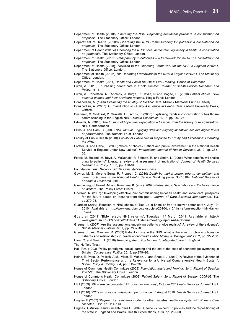Department of Health (2010c) Liberating the NHS. Regulating healthcare providers: a consultation on proposals. The Stationery Office: London.

Department of Health (2010d) Liberating the NHS Commissioning for patients: a consultation on proposals. The Stationery Office: London.

Department of Health (2010e) Liberating the NHS: Local democratic legitimacy in health: a consultation on proposals. The Stationery Office: London.

Department of Health (2010f) Transparency in outcomes – a framework for the NHS a consultation on proposals. The Stationery Office: London.

Department of Health (2010g) Revision to the Operating Framework for the NHS in England 2010/11. The Stationery Office: London.

Department of Health (2010h) The Operating Framework for the NHS in England 2010/11. The Stationery Office: London.

Department of Health (2011) Health and Social Bill 2011: First Reading, House of Commons.

Dixon, A. (2010) 'Purchasing health care in a cold climate', Journal of Health Service Research and Policy, 15: 1.

Dixon, A. Robertson, R. Appleby, J. Burge, P. Devlin, N and Magee, H. (2010) Patient choice: How patients choose and how providers respond, King's Fund: London.

Donabedian, A. (1966) Evaluating the Quality of Medical Care. Milbank Memorial Fund Quarterly

Donabedian, A. (2003) An Introduction to Quality Assurance in Health Care. Oxford University Press, Oxford.

Dusheiko, M. Goddard, M. Gravelle, H. Jacobs, R. (2008) 'Explaining trends in concentration of healthcare commissioning in the English NHS', Health Economics, 17: 8, pp. 907-26.

Edwards, N. (2010) The triumph of hope over expectation – Lessons from the history of reorganisation. NHS Confederation.

Ellins, J. and Ham, C. (2009) NHS Mutual. Engaging Staff and Aligning incentives achieve higher levels of performance. The Nuffield Trust, London.

- Faculty of Public Health (2010) Faculty of Public Health response to Equity and Excellence: Liberating the NHS.
- Forster, R. and Gabe, J. (2008) 'Voice or choice? Patient and public involvement in the National Health Service in England under New Labour', International Journal of Health Services, 38: 2, pp. 333– 56.
- Fotaki, M. Roland, M. Boyd, A. McDonald, R. Scheaff, R. and Smith, L. (2008) 'What benefits will choice bring to patients? Literature review and assessment of implications', Journal of Health Services Research & Policy, 13: 3, pp. 178-84.

Foundation Trust Network (2010) Consultation Response.

- Gaynor, M. S. Moreno-Serra, R. Propper, C. (2010) Death by market power: reform, competition and patient outcomes in the National Health Service. Working paper No 16164. National Bureau of Economic Research, 2010.
- Glendinning, C. Powell, M. and Rummery, K. (eds.) (2002) Partnerships, New Labour and the Governance of Welfare, The Policy Press: Bristol.
- Goodwin, N. (2007) 'Developing effective joint commissioning between health and social care: prospects for the future based on lessons from the past', Journal of Care Services Management, 1:3, pp.279-93.

Guardian (2010) 'Reaction to NHS shakeup: Tied up in knots or free to deliver better care?, July 12<sup>th</sup> 2010'. Available at http://www.guardian.co.uk/society/2010/jul/12/nhs-reform-reaction-thinktanksunions

Guardian (2011) 'BMA rejects NHS reforms', Tuesday 11th March 2011. Available at: http:// www.guardian.co.uk/society/2011/mar/15/bma-meeting-rejects-nhs-reforms.

Greener, I. (2007) 'Are the assumptions underlying patients choice realistic? A review of the evidence', British Medical Bulletin, 83:1, pp. 249-58.

Greener, I. and Mannion, R. (2009) Patient choice in the NHS: what is the effect of choice policies on patients and relationships in health economies? Public Money & Management 29: 2, pp. 95 -100.

Ham, C. and Smith, J. (2010) Removing the policy barriers to integrated care in England.

The Nuffield Trust.

- Hall, P.A. (1993) 'Policy paradigms, social learning and the state: the case of economic policymaking in Britain', Comparative Politics 25: 3, pp.275–96.
- Heins, E. Price, D. Pollock, A.M. Miller, E. Mohan, J. and Shaoul, J. (2010) 'A Review of the Evidence of Third Sector Performance and Its Relevance for a Universal Comprehensive Health System', Social Policy & Society, 9:4, pp. 515-526.

House of Commons Health Committee (2008) Foundation trusts and Monitor. Sixth Report of Session 2007-08. The Stationery Office: London.

- House of Commons Health Committee (2009) Patient Safety. Sixth Report of Session 2008-09. The Stationery Office: London.
- HSJ (2009) 'MP slams 'uncontested' FT governor elections', October 28th Health Services Journal, HSJ: London.
- HSJ (2010) 'PCTs improve commissioning performance', 5 August 2010, Health Services Journal, HSJ: London.
- Hughes E (2007) 'Payment by results—a model for other diabetes healthcare systems?', Primary Care Diabetes , 1:2, pp. 111–113.
- Hughes D, Mullen C and Vincent-Jones P. (2009). Choice vs. voice? PPI policies and the re-positioning of the state in England and Wales. Health Expectations, 12:3, pp. 237-50.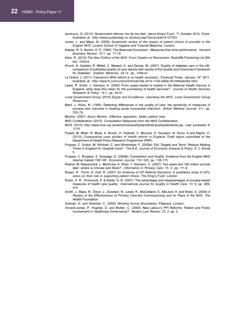- Iacobucci, G. (2010) 'Government reforms 'too far too fast', warns King's Fund', 7<sup>th</sup> October 2010, Pulse. Available at: http://www.pulsetoday.co.uk/story.asp?storycode=4127303
- Jones, L. and Mays, N. (2009) Systematic review of the impact of patient choice of provider in the English NHS. London School of Hygiene and Tropical Medicine: London
- Kaplan, R. S. Norton, D. P. (1992) 'The Balanced Scorecard Measures that drive performance'. Harvard Business Review, 70:1, pp. 71-79.
- Klein, R. (2010) The New Politics of the NHS: From Creation to Reinvention, Radcliffe Publishing Ltd (6th ed), Oxford.
- Khunti, K. Gadsby, R. Millett, C. Majeed, A. and Davies, M. (2007) 'Quality of diabetes care in the UK: comparison of published quality-of-care reports with results of the Quality and Outcomes Framework for Diabetes', Diabetic Medicine, 24:12, pp. 1436-41
- Le Grand, J. (2011) 'Cameron's NHS reform is no health revolution', Financial Times, January 19<sup>th</sup> 2011. Available at: http://www.ft.com/cms/s/0/43c4e79e-241b-11e0-a89a-00144feab49a.html
- Lewis, R. Smith, J. Harrison, A. (2009) 'From quasi-market to market in the National Health Service in England: what does this mean for the purchasing of health services?', Journal of Health Services Research & Policy, 14:1, pp. 44-51.
- Local Government Group (2010) Equity and Excellence: Liberating the NHS. Local Government Group Response.
- Mant, J. Hicks, N. (1995) 'Detecting differences in the quality of care: the sensitivity of measures of process and outcome in treating acute myocardial infarction', British Medical Journal, 311, pp. 793-79
- Monitor (2007) About Monitor. Effective regulation, better patient care.
- NHS Confederation (2010). Consultation Response from the NHS Confederation.
- NICE (2010) http://www.nice.org.uk/aboutnice/qualitystandards/qualitystandards.jsp. Last accessed 4/ 11/10
- Powell, M. Millar, R. Mulla, A. Brown, H. Fewtrell, C. McLeod, H. Goodwin, N. Dixon, A and Naylor, C. (2010) Comparative case studies of health reform in England. Draft report submitted to the Department of Health Policy Research Programme (PRP).
- Propper, C. Sutton, M. Whitnall, C. and Windmeijer, F. (2008a) 'Did 'Targets and Terror' Reduce Waiting Times in England for Hospital Care?,' The B.E. Journal of Economic Analysis & Policy: 8: 2, Article 5
- Propper, C. Burgess, S. Gossage, D. (2008b) 'Competition and Quality. Evidence from the English NHS internal market 1991-99', Economic Journal, 118: 525, pp. 138-170
- Rashid, M. Abeysundra, L. Mohd-Isa, A. Khan, Y. Sismeiro, C. (2007) 'Two years and 196 million pounds later: where is Choose and Book?', Informatics In Primary Care, 15: 2, pp. 111-9.
- Rosen, R. Florin, D. Hutt, R. (2007) An Anatomy of GP Referral Decisions: A qualitative study of GPs' views on their role in supporting patient choice. The King's Fund: London.
- Rubin, H. R., Pronovost, P. & Diette, G. B. (2001) 'The advantages and disadvantages of process-based measures of health care quality', International Journal for Quality in Health Care, 13: 6, pp. 469-474.
- Smith, J., Mays, N., Dixon, J., Goodwin, N., Lewis, R., McClelland, S., McLeod, H. and Wyke, S. (2004) A Review of the Effectiveness of Primary Care-led Commissioning and its Place in the NHS. The Health Foundation
- Sullivan, H. and Skelcher, C. (2002) Working Across Boundaries. Palgrave: London.
- Vincent-Jones, P., Hughes, D. and Mullen, C. (2009) 'New Labour's PPI Reforms: Patient and Public Involvement in Healthcare Governance?', Modern Law Review, 72: 2, pp. 2.